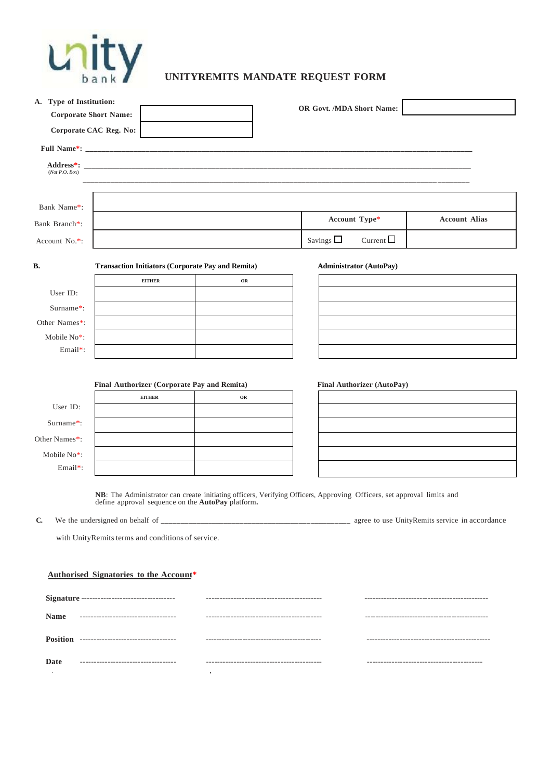

| A. Type of Institution:      |                                                              |    |                                                                                                                       |  |  |
|------------------------------|--------------------------------------------------------------|----|-----------------------------------------------------------------------------------------------------------------------|--|--|
| <b>Corporate Short Name:</b> |                                                              |    | OR Govt. /MDA Short Name:                                                                                             |  |  |
|                              | Corporate CAC Reg. No:                                       |    |                                                                                                                       |  |  |
|                              |                                                              |    |                                                                                                                       |  |  |
| (Not P.O. Box)               |                                                              |    |                                                                                                                       |  |  |
| Bank Name*:                  |                                                              |    |                                                                                                                       |  |  |
| Bank Branch*:                |                                                              |    | Account Type*<br><b>Account Alias</b>                                                                                 |  |  |
| Account No.*:                |                                                              |    | Current $\square$<br>Savings $\square$                                                                                |  |  |
| В.                           | <b>Transaction Initiators (Corporate Pay and Remita)</b>     |    | <b>Administrator (AutoPay)</b>                                                                                        |  |  |
|                              | <b>EITHER</b>                                                | OR |                                                                                                                       |  |  |
| User ID:                     |                                                              |    |                                                                                                                       |  |  |
| Surname*:<br>Other Names*:   |                                                              |    |                                                                                                                       |  |  |
| Mobile No*:                  |                                                              |    |                                                                                                                       |  |  |
| Email*:                      |                                                              |    |                                                                                                                       |  |  |
| User ID:                     | Final Authorizer (Corporate Pay and Remita)<br><b>EITHER</b> | OR | <b>Final Authorizer (AutoPay)</b>                                                                                     |  |  |
| Surname*:                    |                                                              |    |                                                                                                                       |  |  |
| Other Names*:                |                                                              |    |                                                                                                                       |  |  |
| Mobile No*:                  |                                                              |    |                                                                                                                       |  |  |
| Email*:                      |                                                              |    |                                                                                                                       |  |  |
|                              | define approval sequence on the AutoPay platform.            |    | NB: The Administrator can create initiating officers, Verifying Officers, Approving Officers, set approval limits and |  |  |
| $\mathbf{C}$                 |                                                              |    |                                                                                                                       |  |  |
|                              | with UnityRemits terms and conditions of service.            |    |                                                                                                                       |  |  |
|                              |                                                              |    |                                                                                                                       |  |  |
|                              | Authorised Signatories to the Account*                       |    |                                                                                                                       |  |  |
|                              |                                                              |    |                                                                                                                       |  |  |
| <b>Name</b>                  | -----------------------------------                          |    |                                                                                                                       |  |  |
|                              |                                                              |    |                                                                                                                       |  |  |
| Date                         | ------------------------------------                         |    |                                                                                                                       |  |  |